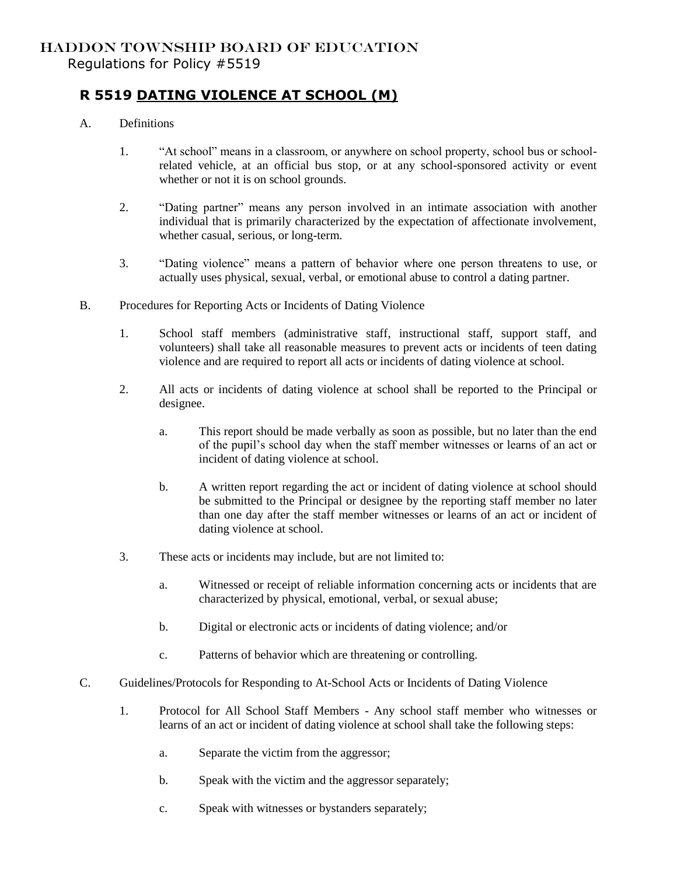## HADDON TOWNSHIP BOARD OF EDUCATION Regulations for Policy #5519

## **R 5519 DATING VIOLENCE AT SCHOOL (M)**

- A. Definitions
	- 1. "At school" means in a classroom, or anywhere on school property, school bus or schoolrelated vehicle, at an official bus stop, or at any school-sponsored activity or event whether or not it is on school grounds.
	- 2. "Dating partner" means any person involved in an intimate association with another individual that is primarily characterized by the expectation of affectionate involvement, whether casual, serious, or long-term.
	- 3. "Dating violence" means a pattern of behavior where one person threatens to use, or actually uses physical, sexual, verbal, or emotional abuse to control a dating partner.
- B. Procedures for Reporting Acts or Incidents of Dating Violence
	- 1. School staff members (administrative staff, instructional staff, support staff, and volunteers) shall take all reasonable measures to prevent acts or incidents of teen dating violence and are required to report all acts or incidents of dating violence at school.
	- 2. All acts or incidents of dating violence at school shall be reported to the Principal or designee.
		- a. This report should be made verbally as soon as possible, but no later than the end of the pupil's school day when the staff member witnesses or learns of an act or incident of dating violence at school.
		- b. A written report regarding the act or incident of dating violence at school should be submitted to the Principal or designee by the reporting staff member no later than one day after the staff member witnesses or learns of an act or incident of dating violence at school.
	- 3. These acts or incidents may include, but are not limited to:
		- a. Witnessed or receipt of reliable information concerning acts or incidents that are characterized by physical, emotional, verbal, or sexual abuse;
		- b. Digital or electronic acts or incidents of dating violence; and/or
		- c. Patterns of behavior which are threatening or controlling.
- C. Guidelines/Protocols for Responding to At-School Acts or Incidents of Dating Violence
	- 1. Protocol for All School Staff Members Any school staff member who witnesses or learns of an act or incident of dating violence at school shall take the following steps:
		- a. Separate the victim from the aggressor;
		- b. Speak with the victim and the aggressor separately;
		- c. Speak with witnesses or bystanders separately;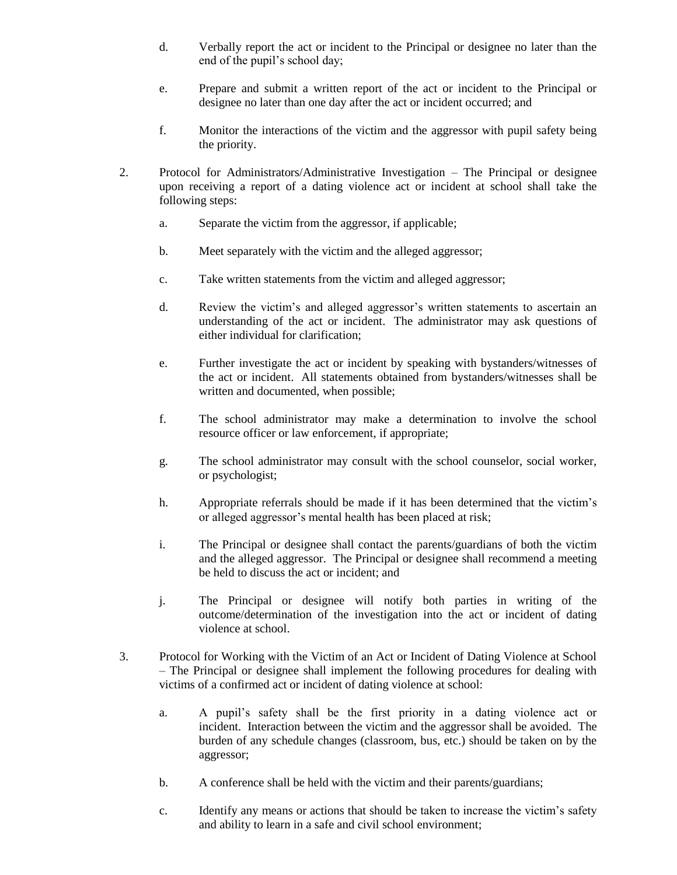- d. Verbally report the act or incident to the Principal or designee no later than the end of the pupil's school day;
- e. Prepare and submit a written report of the act or incident to the Principal or designee no later than one day after the act or incident occurred; and
- f. Monitor the interactions of the victim and the aggressor with pupil safety being the priority.
- 2. Protocol for Administrators/Administrative Investigation The Principal or designee upon receiving a report of a dating violence act or incident at school shall take the following steps:
	- a. Separate the victim from the aggressor, if applicable;
	- b. Meet separately with the victim and the alleged aggressor;
	- c. Take written statements from the victim and alleged aggressor;
	- d. Review the victim's and alleged aggressor's written statements to ascertain an understanding of the act or incident. The administrator may ask questions of either individual for clarification;
	- e. Further investigate the act or incident by speaking with bystanders/witnesses of the act or incident. All statements obtained from bystanders/witnesses shall be written and documented, when possible;
	- f. The school administrator may make a determination to involve the school resource officer or law enforcement, if appropriate;
	- g. The school administrator may consult with the school counselor, social worker, or psychologist;
	- h. Appropriate referrals should be made if it has been determined that the victim's or alleged aggressor's mental health has been placed at risk;
	- i. The Principal or designee shall contact the parents/guardians of both the victim and the alleged aggressor. The Principal or designee shall recommend a meeting be held to discuss the act or incident; and
	- j. The Principal or designee will notify both parties in writing of the outcome/determination of the investigation into the act or incident of dating violence at school.
- 3. Protocol for Working with the Victim of an Act or Incident of Dating Violence at School – The Principal or designee shall implement the following procedures for dealing with victims of a confirmed act or incident of dating violence at school:
	- a. A pupil's safety shall be the first priority in a dating violence act or incident. Interaction between the victim and the aggressor shall be avoided. The burden of any schedule changes (classroom, bus, etc.) should be taken on by the aggressor;
	- b. A conference shall be held with the victim and their parents/guardians;
	- c. Identify any means or actions that should be taken to increase the victim's safety and ability to learn in a safe and civil school environment;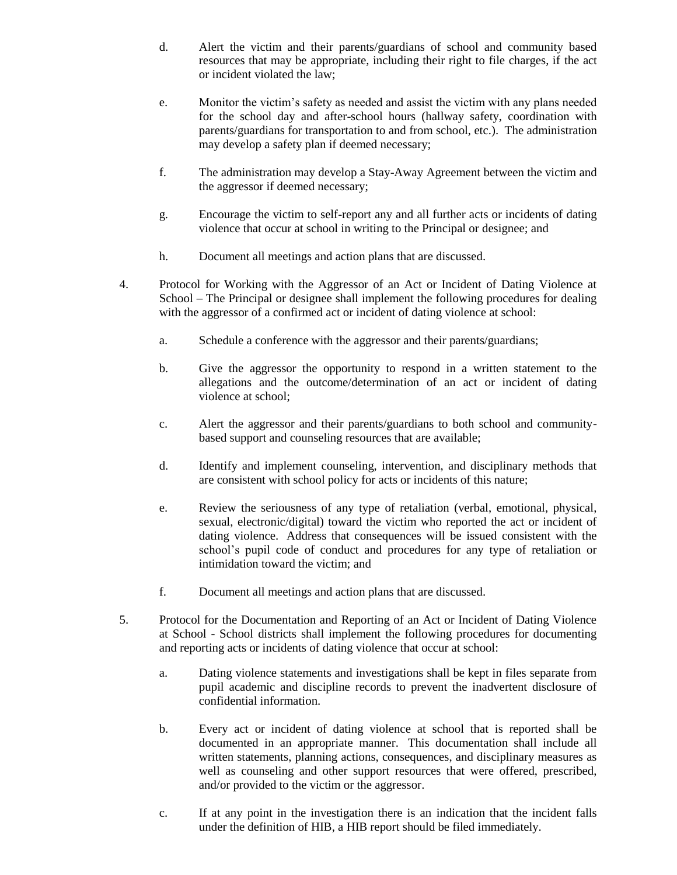- d. Alert the victim and their parents/guardians of school and community based resources that may be appropriate, including their right to file charges, if the act or incident violated the law;
- e. Monitor the victim's safety as needed and assist the victim with any plans needed for the school day and after-school hours (hallway safety, coordination with parents/guardians for transportation to and from school, etc.). The administration may develop a safety plan if deemed necessary;
- f. The administration may develop a Stay-Away Agreement between the victim and the aggressor if deemed necessary;
- g. Encourage the victim to self-report any and all further acts or incidents of dating violence that occur at school in writing to the Principal or designee; and
- h. Document all meetings and action plans that are discussed.
- 4. Protocol for Working with the Aggressor of an Act or Incident of Dating Violence at School – The Principal or designee shall implement the following procedures for dealing with the aggressor of a confirmed act or incident of dating violence at school:
	- a. Schedule a conference with the aggressor and their parents/guardians;
	- b. Give the aggressor the opportunity to respond in a written statement to the allegations and the outcome/determination of an act or incident of dating violence at school;
	- c. Alert the aggressor and their parents/guardians to both school and communitybased support and counseling resources that are available;
	- d. Identify and implement counseling, intervention, and disciplinary methods that are consistent with school policy for acts or incidents of this nature;
	- e. Review the seriousness of any type of retaliation (verbal, emotional, physical, sexual, electronic/digital) toward the victim who reported the act or incident of dating violence. Address that consequences will be issued consistent with the school's pupil code of conduct and procedures for any type of retaliation or intimidation toward the victim; and
	- f. Document all meetings and action plans that are discussed.
- 5. Protocol for the Documentation and Reporting of an Act or Incident of Dating Violence at School - School districts shall implement the following procedures for documenting and reporting acts or incidents of dating violence that occur at school:
	- a. Dating violence statements and investigations shall be kept in files separate from pupil academic and discipline records to prevent the inadvertent disclosure of confidential information.
	- b. Every act or incident of dating violence at school that is reported shall be documented in an appropriate manner. This documentation shall include all written statements, planning actions, consequences, and disciplinary measures as well as counseling and other support resources that were offered, prescribed, and/or provided to the victim or the aggressor.
	- c. If at any point in the investigation there is an indication that the incident falls under the definition of HIB, a HIB report should be filed immediately.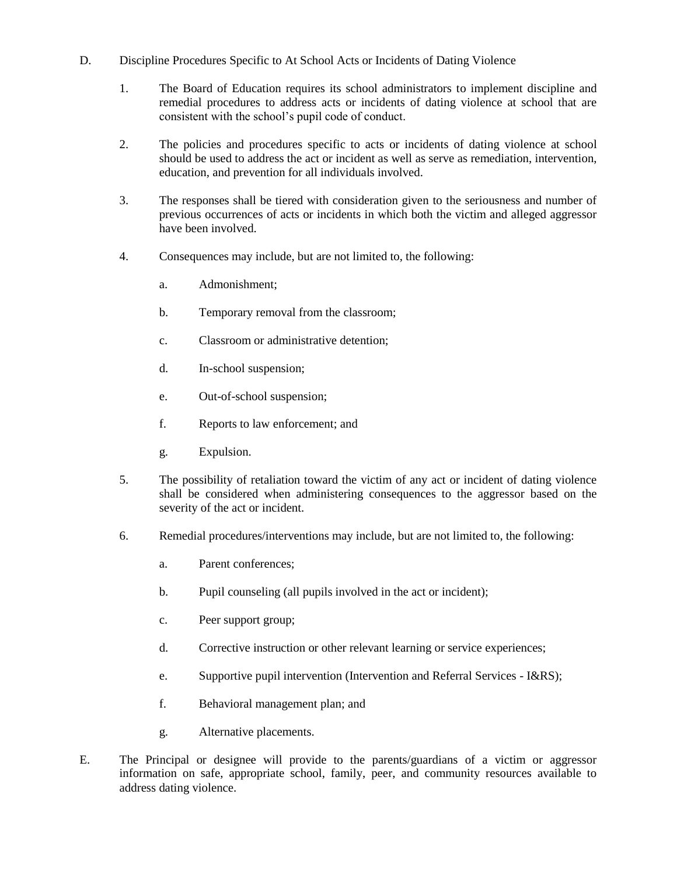- D. Discipline Procedures Specific to At School Acts or Incidents of Dating Violence
	- 1. The Board of Education requires its school administrators to implement discipline and remedial procedures to address acts or incidents of dating violence at school that are consistent with the school's pupil code of conduct.
	- 2. The policies and procedures specific to acts or incidents of dating violence at school should be used to address the act or incident as well as serve as remediation, intervention, education, and prevention for all individuals involved.
	- 3. The responses shall be tiered with consideration given to the seriousness and number of previous occurrences of acts or incidents in which both the victim and alleged aggressor have been involved.
	- 4. Consequences may include, but are not limited to, the following:
		- a. Admonishment;
		- b. Temporary removal from the classroom;
		- c. Classroom or administrative detention;
		- d. In-school suspension;
		- e. Out-of-school suspension;
		- f. Reports to law enforcement; and
		- g. Expulsion.
	- 5. The possibility of retaliation toward the victim of any act or incident of dating violence shall be considered when administering consequences to the aggressor based on the severity of the act or incident.
	- 6. Remedial procedures/interventions may include, but are not limited to, the following:
		- a. Parent conferences;
		- b. Pupil counseling (all pupils involved in the act or incident);
		- c. Peer support group;
		- d. Corrective instruction or other relevant learning or service experiences;
		- e. Supportive pupil intervention (Intervention and Referral Services I&RS);
		- f. Behavioral management plan; and
		- g. Alternative placements.
- E. The Principal or designee will provide to the parents/guardians of a victim or aggressor information on safe, appropriate school, family, peer, and community resources available to address dating violence.